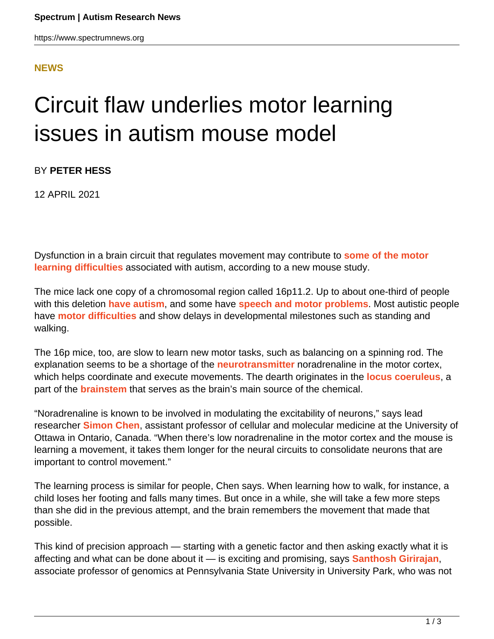## **[NEWS](HTTPS://WWW.SPECTRUMNEWS.ORG/NEWS/)**

## Circuit flaw underlies motor learning issues in autism mouse model

BY **PETER HESS**

12 APRIL 2021

Dysfunction in a brain circuit that regulates movement may contribute to **[some of the motor](https://doi.org/10.1038/s41593-021-00815-7) [learning difficulties](https://doi.org/10.1038/s41593-021-00815-7)** associated with autism, according to a new mouse study.

The mice lack one copy of a chromosomal region called 16p11.2. Up to about one-third of people with this deletion **[have autism](https://www.spectrumnews.org/news/studies-unravel-diversity-of-traits-tied-to-chromosome-16-mutations/)**, and some have **[speech and motor problems](https://doi.org/10.1038/s41598-018-19751-x)**. Most autistic people have **[motor difficulties](https://www.spectrumnews.org/news/motor-difficulties-in-autism-explained/)** and show delays in developmental milestones such as standing and walking.

The 16p mice, too, are slow to learn new motor tasks, such as balancing on a spinning rod. The explanation seems to be a shortage of the **[neurotransmitter](http://spectrumnews.org/wiki/neurotransmitters)** noradrenaline in the motor cortex, which helps coordinate and execute movements. The dearth originates in the **[locus coeruleus](https://doi.org/10.1038/nrn2573)**, a part of the **[brainstem](https://www.spectrumnews.org/news/brains-center-of-automatic-body-functions-has-autism-links/)** that serves as the brain's main source of the chemical.

"Noradrenaline is known to be involved in modulating the excitability of neurons," says lead researcher **[Simon Chen](https://med.uottawa.ca/cellular-molecular/people/chen-simon)**, assistant professor of cellular and molecular medicine at the University of Ottawa in Ontario, Canada. "When there's low noradrenaline in the motor cortex and the mouse is learning a movement, it takes them longer for the neural circuits to consolidate neurons that are important to control movement."

The learning process is similar for people, Chen says. When learning how to walk, for instance, a child loses her footing and falls many times. But once in a while, she will take a few more steps than she did in the previous attempt, and the brain remembers the movement that made that possible.

This kind of precision approach — starting with a genetic factor and then asking exactly what it is affecting and what can be done about it — is exciting and promising, says **[Santhosh Girirajan](https://www.huck.psu.edu/people/santhosh-girirajan)**, associate professor of genomics at Pennsylvania State University in University Park, who was not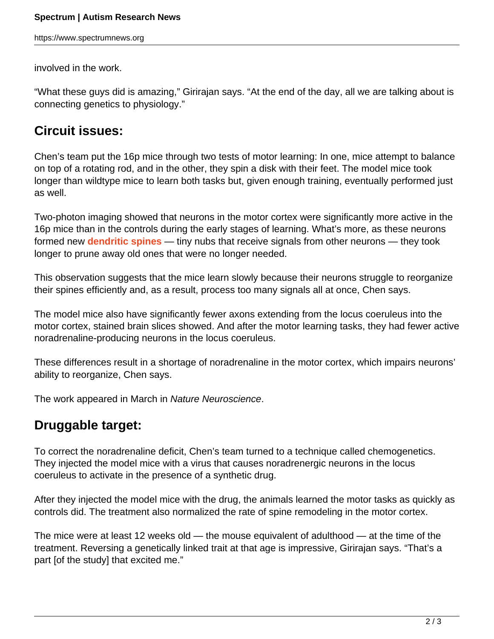https://www.spectrumnews.org

involved in the work.

"What these guys did is amazing," Girirajan says. "At the end of the day, all we are talking about is connecting genetics to physiology."

## **Circuit issues:**

Chen's team put the 16p mice through two tests of motor learning: In one, mice attempt to balance on top of a rotating rod, and in the other, they spin a disk with their feet. The model mice took longer than wildtype mice to learn both tasks but, given enough training, eventually performed just as well.

Two-photon imaging showed that neurons in the motor cortex were significantly more active in the 16p mice than in the controls during the early stages of learning. What's more, as these neurons formed new **[dendritic spines](https://www.spectrumnews.org/wiki/dendritic-spines/)** — tiny nubs that receive signals from other neurons — they took longer to prune away old ones that were no longer needed.

This observation suggests that the mice learn slowly because their neurons struggle to reorganize their spines efficiently and, as a result, process too many signals all at once, Chen says.

The model mice also have significantly fewer axons extending from the locus coeruleus into the motor cortex, stained brain slices showed. And after the motor learning tasks, they had fewer active noradrenaline-producing neurons in the locus coeruleus.

These differences result in a shortage of noradrenaline in the motor cortex, which impairs neurons' ability to reorganize, Chen says.

The work appeared in March in Nature Neuroscience.

## **Druggable target:**

To correct the noradrenaline deficit, Chen's team turned to a technique called chemogenetics. They injected the model mice with a virus that causes noradrenergic neurons in the locus coeruleus to activate in the presence of a synthetic drug.

After they injected the model mice with the drug, the animals learned the motor tasks as quickly as controls did. The treatment also normalized the rate of spine remodeling in the motor cortex.

The mice were at least 12 weeks old — the mouse equivalent of adulthood — at the time of the treatment. Reversing a genetically linked trait at that age is impressive, Girirajan says. "That's a part [of the study] that excited me."